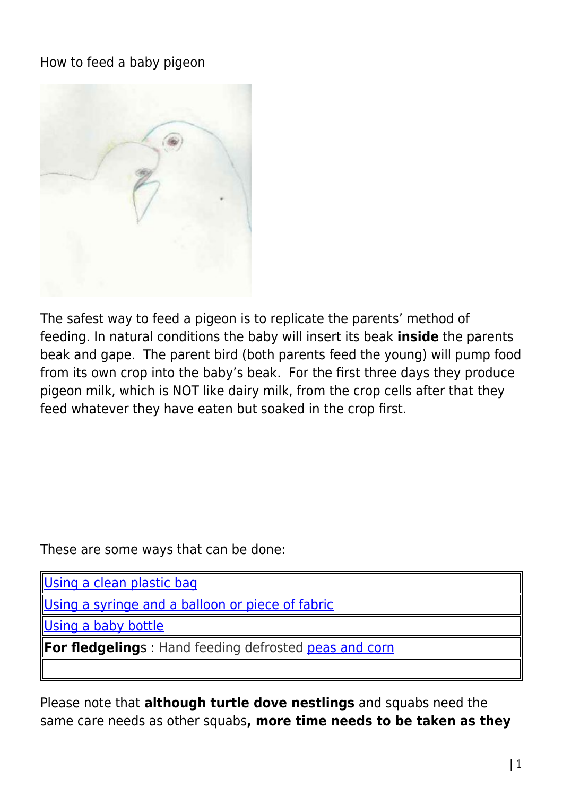How to feed a baby pigeon



The safest way to feed a pigeon is to replicate the parents' method of feeding. In natural conditions the baby will insert its beak **inside** the parents beak and gape. The parent bird (both parents feed the young) will pump food from its own crop into the baby's beak. For the first three days they produce pigeon milk, which is NOT like dairy milk, from the crop cells after that they feed whatever they have eaten but soaked in the crop first.

These are some ways that can be done:

[Using a clean plastic bag](http://www.pigeonrescue.sirtobyservices.com/caring-for-a-baby-pigeon/howtofeed/usingaplasticbag/)

[Using a syringe and a balloon or piece of fabric](http://www.pigeonrescue.sirtobyservices.com/caring-for-a-baby-pigeon/howtofeed/syringeandballoon/)

[Using a baby bottle](http://www.pigeonrescue.sirtobyservices.com/caring-for-a-baby-pigeon/howtofeed/babybottlemethod/)

**For fledgelings**: Hand feeding defrosted **peas and corn** 

Please note that **although turtle dove nestlings** and squabs need the same care needs as other squabs**, more time needs to be taken as they**